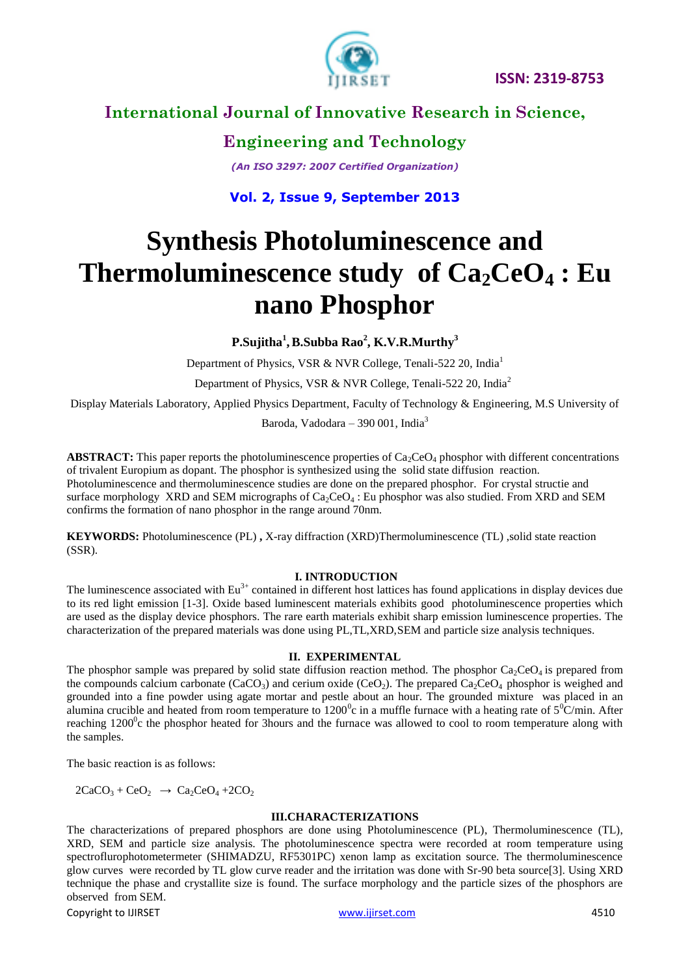

**Engineering and Technology**

*(An ISO 3297: 2007 Certified Organization)*

**Vol. 2, Issue 9, September 2013**

# **Synthesis Photoluminescence and Thermoluminescence study of**  $Ca_2CeO_4$ **: Eu nano Phosphor**

**P.Sujitha<sup>1</sup> ,B.Subba Rao<sup>2</sup> , K.V.R.Murthy<sup>3</sup>**

Department of Physics, VSR & NVR College, Tenali-522 20, India<sup>1</sup>

Department of Physics, VSR & NVR College, Tenali-522 20, India<sup>2</sup>

Display Materials Laboratory, Applied Physics Department, Faculty of Technology & Engineering, M.S University of

Baroda, Vadodara – 390 001, India $3$ 

**ABSTRACT:** This paper reports the photoluminescence properties of  $Ca_2CeO_4$  phosphor with different concentrations of trivalent Europium as dopant. The phosphor is synthesized using the solid state diffusion reaction. Photoluminescence and thermoluminescence studies are done on the prepared phosphor. For crystal structie and surface morphology XRD and SEM micrographs of  $Ca_2CeO_4$ : Eu phosphor was also studied. From XRD and SEM confirms the formation of nano phosphor in the range around 70nm.

**KEYWORDS:** Photoluminescence (PL) **,** X-ray diffraction (XRD)Thermoluminescence (TL) ,solid state reaction (SSR).

## **I. INTRODUCTION**

The luminescence associated with  $Eu^{3+}$  contained in different host lattices has found applications in display devices due to its red light emission [1-3]. Oxide based luminescent materials exhibits good photoluminescence properties which are used as the display device phosphors. The rare earth materials exhibit sharp emission luminescence properties. The characterization of the prepared materials was done using PL,TL,XRD,SEM and particle size analysis techniques.

## **II. EXPERIMENTAL**

The phosphor sample was prepared by solid state diffusion reaction method. The phosphor  $Ca_2CeO_4$  is prepared from the compounds calcium carbonate (CaCO<sub>3</sub>) and cerium oxide (CeO<sub>2</sub>). The prepared Ca<sub>2</sub>CeO<sub>4</sub> phosphor is weighed and grounded into a fine powder using agate mortar and pestle about an hour. The grounded mixture was placed in an alumina crucible and heated from room temperature to  $1200^{\circ}$ c in a muffle furnace with a heating rate of  $5^{\circ}$ C/min. After reaching  $1200^{\circ}$ c the phosphor heated for 3hours and the furnace was allowed to cool to room temperature along with the samples.

The basic reaction is as follows:

 $2CaCO<sub>3</sub> + CeO<sub>2</sub> \rightarrow Ca<sub>2</sub>CeO<sub>4</sub> + 2CO<sub>2</sub>$ 

## **III.CHARACTERIZATIONS**

The characterizations of prepared phosphors are done using Photoluminescence (PL), Thermoluminescence (TL), XRD, SEM and particle size analysis. The photoluminescence spectra were recorded at room temperature using spectroflurophotometermeter (SHIMADZU, RF5301PC) xenon lamp as excitation source. The thermoluminescence glow curves were recorded by TL glow curve reader and the irritation was done with Sr-90 beta source[3]. Using XRD technique the phase and crystallite size is found. The surface morphology and the particle sizes of the phosphors are observed from SEM.

Copyright to IJIRSET [www.ijirset.com](http://www.ijirset.com/) 4510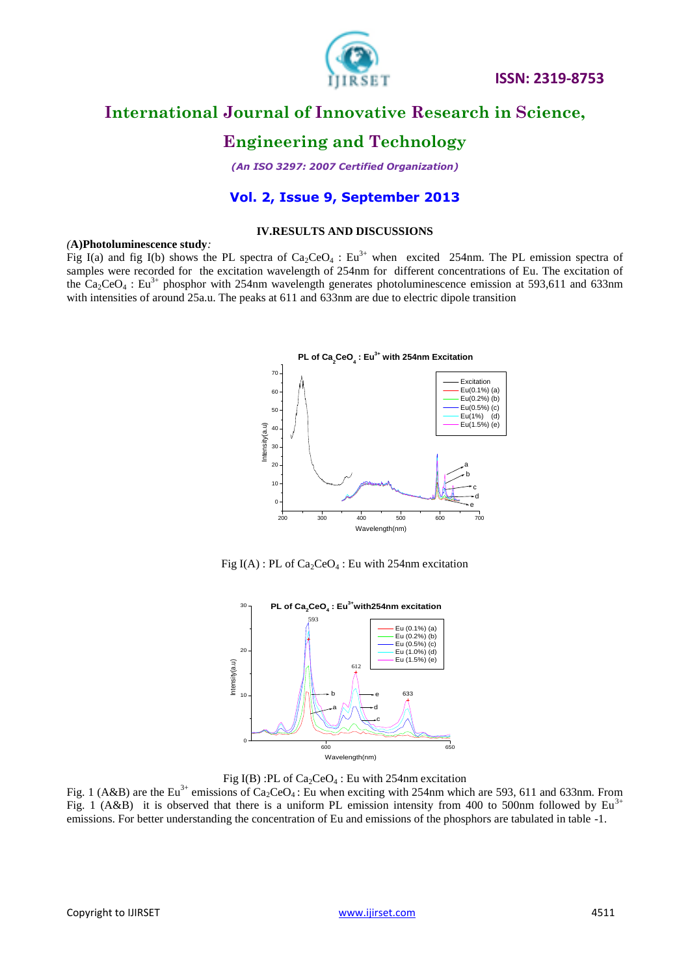

 **ISSN: 2319-8753** 

# **International Journal of Innovative Research in Science,**

# **Engineering and Technology**

*(An ISO 3297: 2007 Certified Organization)*

## **Vol. 2, Issue 9, September 2013**

## **IV.RESULTS AND DISCUSSIONS**

#### *(***A)Photoluminescence study***:*

Fig I(a) and fig I(b) shows the PL spectra of  $Ca_2CeO_4$ : Eu<sup>3+</sup> when excited 254nm. The PL emission spectra of samples were recorded for the excitation wavelength of 254nm for different concentrations of Eu. The excitation of the  $Ca_2CeO_4$ : Eu<sup>3+</sup> phosphor with 254nm wavelength generates photoluminescence emission at 593,611 and 633nm with intensities of around 25a.u. The peaks at 611 and 633nm are due to electric dipole transition



Fig I(A) : PL of  $Ca_2CeO_4$ : Eu with 254nm excitation



Fig I(B) :PL of  $Ca_2CeO_4$ : Eu with 254nm excitation

Fig. 1 (A&B) are the Eu<sup>3+</sup> emissions of Ca<sub>2</sub>CeO<sub>4</sub>: Eu when exciting with 254nm which are 593, 611 and 633nm. From Fig. 1 (A&B) it is observed that there is a uniform PL emission intensity from 400 to 500nm followed by  $Eu<sup>3+</sup>$ emissions. For better understanding the concentration of Eu and emissions of the phosphors are tabulated in table -1.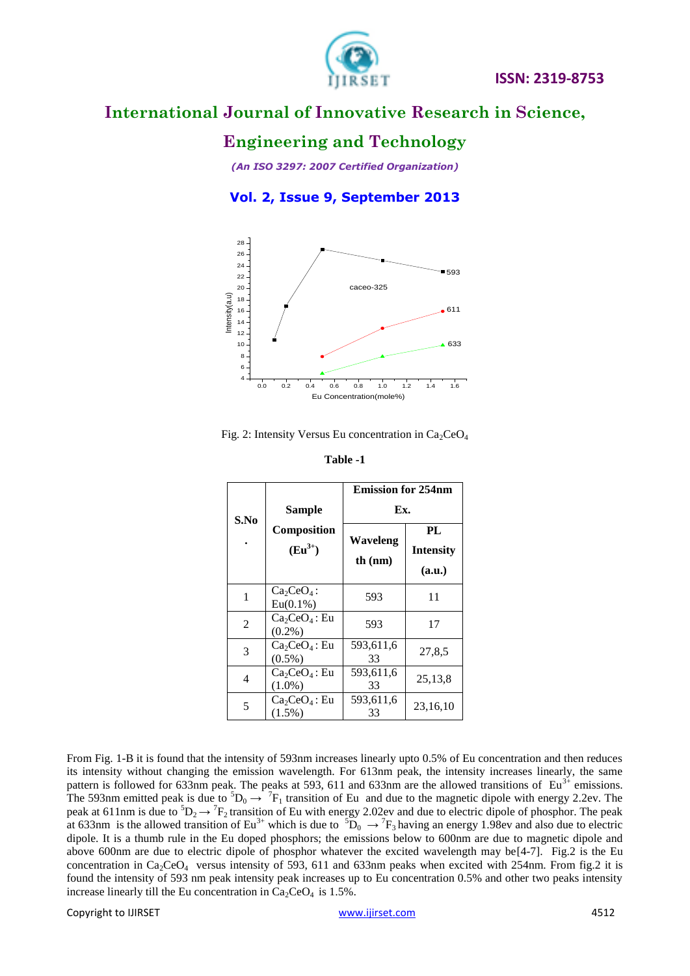

# **Engineering and Technology**

*(An ISO 3297: 2007 Certified Organization)*

## **Vol. 2, Issue 9, September 2013**



Fig. 2: Intensity Versus Eu concentration in  $Ca_2CeO_4$ 

|      |                                             | <b>Emission for 254nm</b> |                                  |
|------|---------------------------------------------|---------------------------|----------------------------------|
| S.No | <b>Sample</b><br>Composition<br>$(Eu^{3+})$ | Ex.                       |                                  |
|      |                                             | Waveleng<br>th $(nm)$     | PL<br><b>Intensity</b><br>(a.u.) |
| 1    | $Ca2CeO4$ :<br>$Eu(0.1\%)$                  | 593                       | 11                               |
| 2    | $Ca2CeO4$ : Eu<br>$(0.2\%)$                 | 593                       | 17                               |
| 3    | $Ca2CeO4$ : Eu<br>$(0.5\%)$                 | 593,611,6<br>33           | 27,8,5                           |
| 4    | $Ca2CeO4$ : Eu<br>$(1.0\%)$                 | 593,611,6<br>33           | 25,13,8                          |
| 5    | $Ca2CeO4$ : Eu<br>$(1.5\%)$                 | 593,611,6<br>33           | 23,16,10                         |

**Table -1**

From Fig. 1-B it is found that the intensity of 593nm increases linearly upto 0.5% of Eu concentration and then reduces its intensity without changing the emission wavelength. For 613nm peak, the intensity increases linearly, the same pattern is followed for 633nm peak. The peaks at 593, 611 and 633nm are the allowed transitions of  $Eu^{3+}$  emissions. The 593nm emitted peak is due to  ${}^5D_0 \rightarrow {}^7F_1$  transition of Eu and due to the magnetic dipole with energy 2.2ev. The peak at 611nm is due to  ${}^5D_2 \rightarrow {}^7F_2$  transition of Eu with energy 2.02ev and due to electric dipole of phosphor. The peak at 633nm is the allowed transition of Eu<sup>3+</sup> which is due to  ${}^5D_0 \rightarrow {}^7F_3$  having an energy 1.98ev and also due to electric dipole. It is a thumb rule in the Eu doped phosphors; the emissions below to 600nm are due to magnetic dipole and above 600nm are due to electric dipole of phosphor whatever the excited wavelength may be[4-7]. Fig.2 is the Eu concentration in  $Ca_2CeO_4$  versus intensity of 593, 611 and 633nm peaks when excited with 254nm. From fig.2 it is found the intensity of 593 nm peak intensity peak increases up to Eu concentration 0.5% and other two peaks intensity increase linearly till the Eu concentration in  $Ca_2CeO_4$  is 1.5%.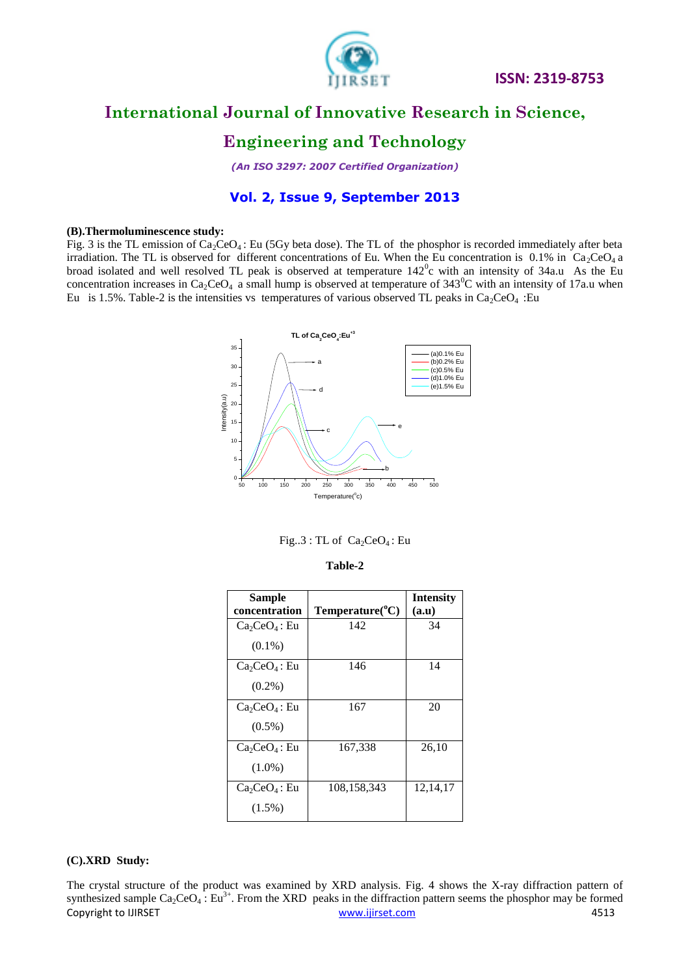

# **Engineering and Technology**

*(An ISO 3297: 2007 Certified Organization)*

## **Vol. 2, Issue 9, September 2013**

#### **(B).Thermoluminescence study:**

Fig. 3 is the TL emission of  $Ca_2CeO_4$ : Eu (5Gy beta dose). The TL of the phosphor is recorded immediately after beta irradiation. The TL is observed for different concentrations of Eu. When the Eu concentration is 0.1% in Ca<sub>2</sub>CeO<sub>4</sub> a broad isolated and well resolved TL peak is observed at temperature  $142^{\circ}$ c with an intensity of 34a.u As the Eu concentration increases in  $Ca_2CeO_4$  a small hump is observed at temperature of 343<sup>0</sup>C with an intensity of 17a.u when Eu is 1.5%. Table-2 is the intensities vs temperatures of various observed TL peaks in Ca<sub>2</sub>CeO<sub>4</sub> :Eu



|  | Fig. $3:TL$ of $Ca_2CeO_4$ : Eu |
|--|---------------------------------|
|--|---------------------------------|

| <b>Sample</b>  |                          | <b>Intensity</b> |
|----------------|--------------------------|------------------|
| concentration  | $Temperature(^{\circ}C)$ | (a.u)            |
| $Ca2CeO4$ : Eu | 142                      | 34               |
| $(0.1\%)$      |                          |                  |
| $Ca2CeO4$ : Eu | 146                      | 14               |
| $(0.2\%)$      |                          |                  |
| $Ca2CeO4$ : Eu | 167                      | 20               |
| $(0.5\%)$      |                          |                  |
| $Ca2CeO4$ : Eu | 167,338                  | 26,10            |
| $(1.0\%)$      |                          |                  |
| $Ca2CeO4$ : Eu | 108,158,343              | 12, 14, 17       |
| $(1.5\%)$      |                          |                  |

#### **Table-2**

## **(C).XRD Study:**

Copyright to IJIRSET [www.ijirset.com](http://www.ijirset.com/) 4513 The crystal structure of the product was examined by XRD analysis. Fig. 4 shows the X-ray diffraction pattern of synthesized sample  $Ca_2CeO_4$ : Eu<sup>3+</sup>. From the XRD peaks in the diffraction pattern seems the phosphor may be formed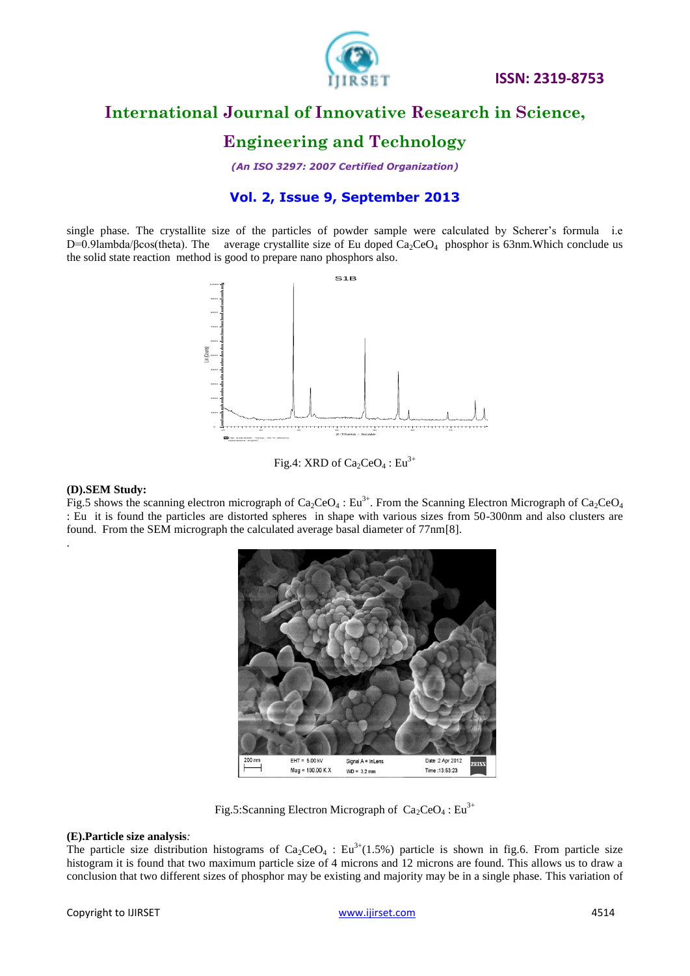

# **Engineering and Technology**

*(An ISO 3297: 2007 Certified Organization)*

## **Vol. 2, Issue 9, September 2013**

single phase. The crystallite size of the particles of powder sample were calculated by Scherer's formula i.e D=0.9lambda/βcos(theta). The average crystallite size of Eu doped  $Ca_2CeO_4$  phosphor is 63nm. Which conclude us the solid state reaction method is good to prepare nano phosphors also.



Fig.4: XRD of  $Ca_2CeO_4$ : Eu<sup>3+</sup>

## **(D).SEM Study:**

Fig.5 shows the scanning electron micrograph of Ca<sub>2</sub>CeO<sub>4</sub>: Eu<sup>3+</sup>. From the Scanning Electron Micrograph of Ca<sub>2</sub>CeO<sub>4</sub> : Eu it is found the particles are distorted spheres in shape with various sizes from 50-300nm and also clusters are found. From the SEM micrograph the calculated average basal diameter of 77nm[8]. .



Fig.5:Scanning Electron Micrograph of  $Ca_2CeO_4$ : Eu<sup>3+</sup>

## **(E).Particle size analysis***:*

The particle size distribution histograms of  $Ca_2CeO_4$ : Eu<sup>3+</sup>(1.5%) particle is shown in fig.6. From particle size histogram it is found that two maximum particle size of 4 microns and 12 microns are found. This allows us to draw a conclusion that two different sizes of phosphor may be existing and majority may be in a single phase. This variation of